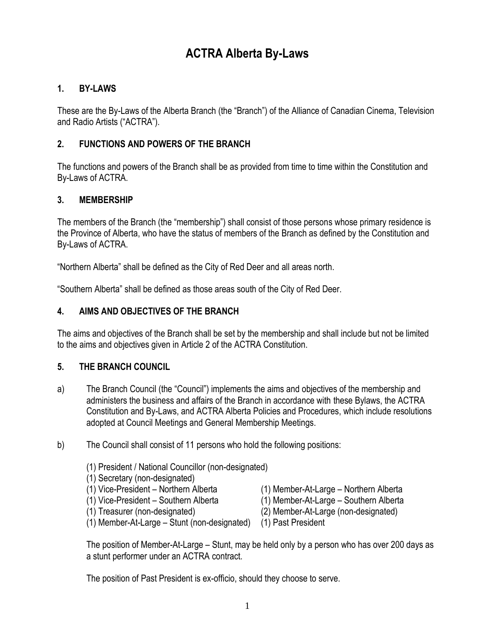# **ACTRA Alberta By-Laws**

## **1. BY-LAWS**

These are the By-Laws of the Alberta Branch (the "Branch") of the Alliance of Canadian Cinema, Television and Radio Artists ("ACTRA").

## **2. FUNCTIONS AND POWERS OF THE BRANCH**

The functions and powers of the Branch shall be as provided from time to time within the Constitution and By-Laws of ACTRA.

## **3. MEMBERSHIP**

The members of the Branch (the "membership") shall consist of those persons whose primary residence is the Province of Alberta, who have the status of members of the Branch as defined by the Constitution and By-Laws of ACTRA.

"Northern Alberta" shall be defined as the City of Red Deer and all areas north.

"Southern Alberta" shall be defined as those areas south of the City of Red Deer.

## **4. AIMS AND OBJECTIVES OF THE BRANCH**

The aims and objectives of the Branch shall be set by the membership and shall include but not be limited to the aims and objectives given in Article 2 of the ACTRA Constitution.

## **5. THE BRANCH COUNCIL**

- a) The Branch Council (the "Council") implements the aims and objectives of the membership and administers the business and affairs of the Branch in accordance with these Bylaws, the ACTRA Constitution and By-Laws, and ACTRA Alberta Policies and Procedures, which include resolutions adopted at Council Meetings and General Membership Meetings.
- b) The Council shall consist of 11 persons who hold the following positions:
	- (1) President / National Councillor (non-designated)
	- (1) Secretary (non-designated)
	-
	-
	-
	- (1) Vice-President Northern Alberta (1) Member-At-Large Northern Alberta
	- (1) Vice-President Southern Alberta (1) Member-At-Large Southern Alberta
	- (1) Treasurer (non-designated) (2) Member-At-Large (non-designated)
	- (1) Member-At-Large Stunt (non-designated) (1) Past President

The position of Member-At-Large – Stunt, may be held only by a person who has over 200 days as a stunt performer under an ACTRA contract.

The position of Past President is ex-officio, should they choose to serve.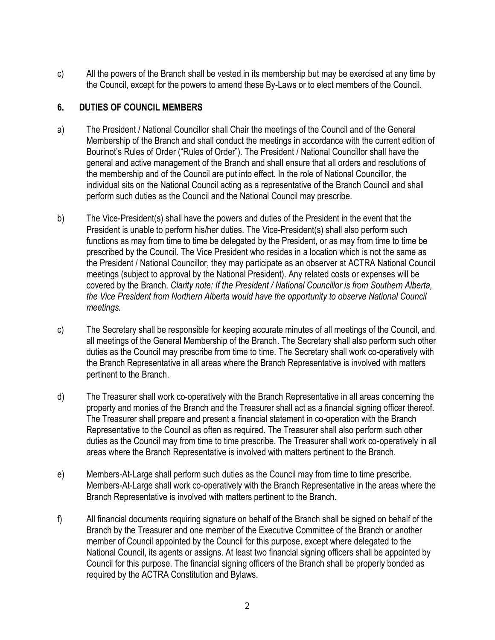c) All the powers of the Branch shall be vested in its membership but may be exercised at any time by the Council, except for the powers to amend these By-Laws or to elect members of the Council.

## **6. DUTIES OF COUNCIL MEMBERS**

- a) The President / National Councillor shall Chair the meetings of the Council and of the General Membership of the Branch and shall conduct the meetings in accordance with the current edition of Bourinot's Rules of Order ("Rules of Order"). The President / National Councillor shall have the general and active management of the Branch and shall ensure that all orders and resolutions of the membership and of the Council are put into effect. In the role of National Councillor, the individual sits on the National Council acting as a representative of the Branch Council and shall perform such duties as the Council and the National Council may prescribe.
- b) The Vice-President(s) shall have the powers and duties of the President in the event that the President is unable to perform his/her duties. The Vice-President(s) shall also perform such functions as may from time to time be delegated by the President, or as may from time to time be prescribed by the Council. The Vice President who resides in a location which is not the same as the President / National Councillor, they may participate as an observer at ACTRA National Council meetings (subject to approval by the National President). Any related costs or expenses will be covered by the Branch. *Clarity note: If the President / National Councillor is from Southern Alberta, the Vice President from Northern Alberta would have the opportunity to observe National Council meetings.*
- c) The Secretary shall be responsible for keeping accurate minutes of all meetings of the Council, and all meetings of the General Membership of the Branch. The Secretary shall also perform such other duties as the Council may prescribe from time to time. The Secretary shall work co-operatively with the Branch Representative in all areas where the Branch Representative is involved with matters pertinent to the Branch.
- d) The Treasurer shall work co-operatively with the Branch Representative in all areas concerning the property and monies of the Branch and the Treasurer shall act as a financial signing officer thereof. The Treasurer shall prepare and present a financial statement in co-operation with the Branch Representative to the Council as often as required. The Treasurer shall also perform such other duties as the Council may from time to time prescribe. The Treasurer shall work co-operatively in all areas where the Branch Representative is involved with matters pertinent to the Branch.
- e) Members-At-Large shall perform such duties as the Council may from time to time prescribe. Members-At-Large shall work co-operatively with the Branch Representative in the areas where the Branch Representative is involved with matters pertinent to the Branch.
- f) All financial documents requiring signature on behalf of the Branch shall be signed on behalf of the Branch by the Treasurer and one member of the Executive Committee of the Branch or another member of Council appointed by the Council for this purpose, except where delegated to the National Council, its agents or assigns. At least two financial signing officers shall be appointed by Council for this purpose. The financial signing officers of the Branch shall be properly bonded as required by the ACTRA Constitution and Bylaws.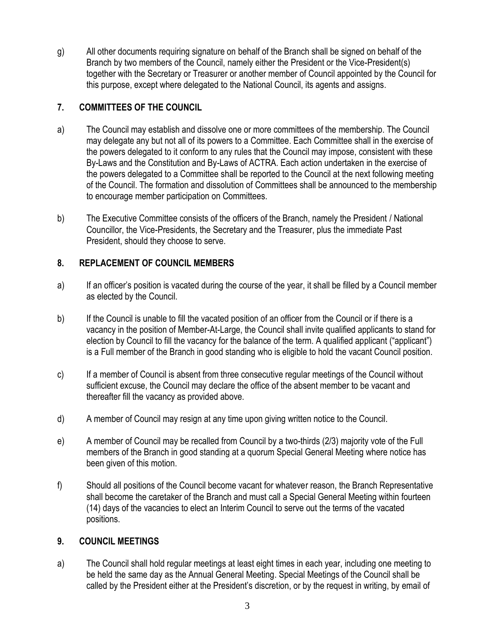g) All other documents requiring signature on behalf of the Branch shall be signed on behalf of the Branch by two members of the Council, namely either the President or the Vice-President(s) together with the Secretary or Treasurer or another member of Council appointed by the Council for this purpose, except where delegated to the National Council, its agents and assigns.

## **7. COMMITTEES OF THE COUNCIL**

- a) The Council may establish and dissolve one or more committees of the membership. The Council may delegate any but not all of its powers to a Committee. Each Committee shall in the exercise of the powers delegated to it conform to any rules that the Council may impose, consistent with these By-Laws and the Constitution and By-Laws of ACTRA. Each action undertaken in the exercise of the powers delegated to a Committee shall be reported to the Council at the next following meeting of the Council. The formation and dissolution of Committees shall be announced to the membership to encourage member participation on Committees.
- b) The Executive Committee consists of the officers of the Branch, namely the President / National Councillor, the Vice-Presidents, the Secretary and the Treasurer, plus the immediate Past President, should they choose to serve.

## **8. REPLACEMENT OF COUNCIL MEMBERS**

- a) If an officer's position is vacated during the course of the year, it shall be filled by a Council member as elected by the Council.
- b) If the Council is unable to fill the vacated position of an officer from the Council or if there is a vacancy in the position of Member-At-Large, the Council shall invite qualified applicants to stand for election by Council to fill the vacancy for the balance of the term. A qualified applicant ("applicant") is a Full member of the Branch in good standing who is eligible to hold the vacant Council position.
- c) If a member of Council is absent from three consecutive regular meetings of the Council without sufficient excuse, the Council may declare the office of the absent member to be vacant and thereafter fill the vacancy as provided above.
- d) A member of Council may resign at any time upon giving written notice to the Council.
- e) A member of Council may be recalled from Council by a two-thirds (2/3) majority vote of the Full members of the Branch in good standing at a quorum Special General Meeting where notice has been given of this motion.
- f) Should all positions of the Council become vacant for whatever reason, the Branch Representative shall become the caretaker of the Branch and must call a Special General Meeting within fourteen (14) days of the vacancies to elect an Interim Council to serve out the terms of the vacated positions.

## **9. COUNCIL MEETINGS**

a) The Council shall hold regular meetings at least eight times in each year, including one meeting to be held the same day as the Annual General Meeting. Special Meetings of the Council shall be called by the President either at the President's discretion, or by the request in writing, by email of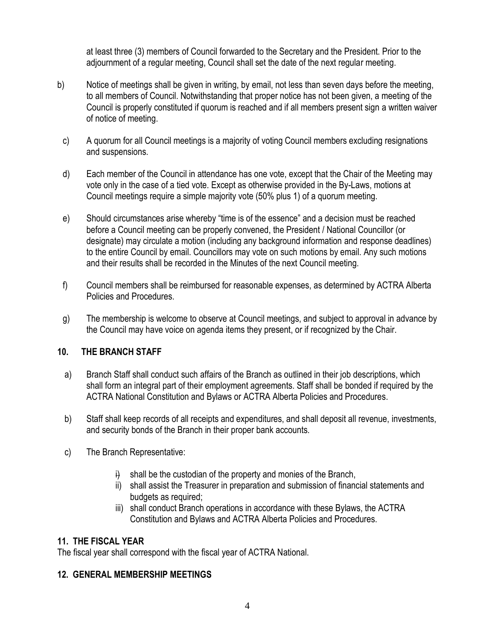at least three (3) members of Council forwarded to the Secretary and the President. Prior to the adjournment of a regular meeting, Council shall set the date of the next regular meeting.

- b) Notice of meetings shall be given in writing, by email, not less than seven days before the meeting, to all members of Council. Notwithstanding that proper notice has not been given, a meeting of the Council is properly constituted if quorum is reached and if all members present sign a written waiver of notice of meeting.
	- c) A quorum for all Council meetings is a majority of voting Council members excluding resignations and suspensions.
	- d) Each member of the Council in attendance has one vote, except that the Chair of the Meeting may vote only in the case of a tied vote. Except as otherwise provided in the By-Laws, motions at Council meetings require a simple majority vote (50% plus 1) of a quorum meeting.
	- e) Should circumstances arise whereby "time is of the essence" and a decision must be reached before a Council meeting can be properly convened, the President / National Councillor (or designate) may circulate a motion (including any background information and response deadlines) to the entire Council by email. Councillors may vote on such motions by email. Any such motions and their results shall be recorded in the Minutes of the next Council meeting.
- f) Council members shall be reimbursed for reasonable expenses, as determined by ACTRA Alberta Policies and Procedures.
- g) The membership is welcome to observe at Council meetings, and subject to approval in advance by the Council may have voice on agenda items they present, or if recognized by the Chair.

## **10. THE BRANCH STAFF**

- a) Branch Staff shall conduct such affairs of the Branch as outlined in their job descriptions, which shall form an integral part of their employment agreements. Staff shall be bonded if required by the ACTRA National Constitution and Bylaws or ACTRA Alberta Policies and Procedures.
- b) Staff shall keep records of all receipts and expenditures, and shall deposit all revenue, investments, and security bonds of the Branch in their proper bank accounts.
- c) The Branch Representative:
	- $\ddot{\theta}$  shall be the custodian of the property and monies of the Branch,
	- ii) shall assist the Treasurer in preparation and submission of financial statements and budgets as required;
	- iii) shall conduct Branch operations in accordance with these Bylaws, the ACTRA Constitution and Bylaws and ACTRA Alberta Policies and Procedures.

## **11. THE FISCAL YEAR**

The fiscal year shall correspond with the fiscal year of ACTRA National.

## **12. GENERAL MEMBERSHIP MEETINGS**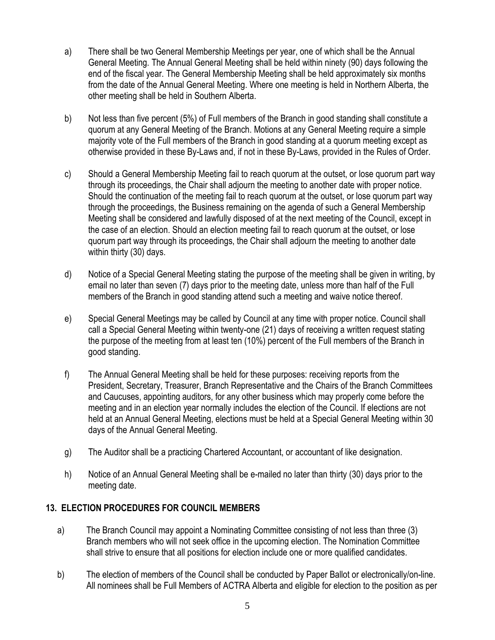- a) There shall be two General Membership Meetings per year, one of which shall be the Annual General Meeting. The Annual General Meeting shall be held within ninety (90) days following the end of the fiscal year. The General Membership Meeting shall be held approximately six months from the date of the Annual General Meeting. Where one meeting is held in Northern Alberta, the other meeting shall be held in Southern Alberta.
- b) Not less than five percent (5%) of Full members of the Branch in good standing shall constitute a quorum at any General Meeting of the Branch. Motions at any General Meeting require a simple majority vote of the Full members of the Branch in good standing at a quorum meeting except as otherwise provided in these By-Laws and, if not in these By-Laws, provided in the Rules of Order.
- c) Should a General Membership Meeting fail to reach quorum at the outset, or lose quorum part way through its proceedings, the Chair shall adjourn the meeting to another date with proper notice. Should the continuation of the meeting fail to reach quorum at the outset, or lose quorum part way through the proceedings, the Business remaining on the agenda of such a General Membership Meeting shall be considered and lawfully disposed of at the next meeting of the Council, except in the case of an election. Should an election meeting fail to reach quorum at the outset, or lose quorum part way through its proceedings, the Chair shall adjourn the meeting to another date within thirty (30) days.
- d) Notice of a Special General Meeting stating the purpose of the meeting shall be given in writing, by email no later than seven (7) days prior to the meeting date, unless more than half of the Full members of the Branch in good standing attend such a meeting and waive notice thereof.
- e) Special General Meetings may be called by Council at any time with proper notice. Council shall call a Special General Meeting within twenty-one (21) days of receiving a written request stating the purpose of the meeting from at least ten (10%) percent of the Full members of the Branch in good standing.
- f) The Annual General Meeting shall be held for these purposes: receiving reports from the President, Secretary, Treasurer, Branch Representative and the Chairs of the Branch Committees and Caucuses, appointing auditors, for any other business which may properly come before the meeting and in an election year normally includes the election of the Council. If elections are not held at an Annual General Meeting, elections must be held at a Special General Meeting within 30 days of the Annual General Meeting.
- g) The Auditor shall be a practicing Chartered Accountant, or accountant of like designation.
- h) Notice of an Annual General Meeting shall be e-mailed no later than thirty (30) days prior to the meeting date.

## **13. ELECTION PROCEDURES FOR COUNCIL MEMBERS**

- a) The Branch Council may appoint a Nominating Committee consisting of not less than three (3) Branch members who will not seek office in the upcoming election. The Nomination Committee shall strive to ensure that all positions for election include one or more qualified candidates.
- b) The election of members of the Council shall be conducted by Paper Ballot or electronically/on-line. All nominees shall be Full Members of ACTRA Alberta and eligible for election to the position as per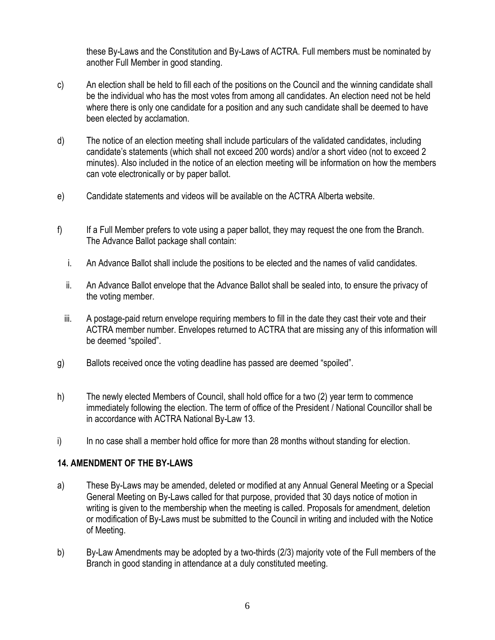these By-Laws and the Constitution and By-Laws of ACTRA. Full members must be nominated by another Full Member in good standing.

- c) An election shall be held to fill each of the positions on the Council and the winning candidate shall be the individual who has the most votes from among all candidates. An election need not be held where there is only one candidate for a position and any such candidate shall be deemed to have been elected by acclamation.
- d) The notice of an election meeting shall include particulars of the validated candidates, including candidate's statements (which shall not exceed 200 words) and/or a short video (not to exceed 2 minutes). Also included in the notice of an election meeting will be information on how the members can vote electronically or by paper ballot.
- e) Candidate statements and videos will be available on the ACTRA Alberta website.
- f) If a Full Member prefers to vote using a paper ballot, they may request the one from the Branch. The Advance Ballot package shall contain:
	- i. An Advance Ballot shall include the positions to be elected and the names of valid candidates.
	- ii. An Advance Ballot envelope that the Advance Ballot shall be sealed into, to ensure the privacy of the voting member.
	- iii. A postage-paid return envelope requiring members to fill in the date they cast their vote and their ACTRA member number. Envelopes returned to ACTRA that are missing any of this information will be deemed "spoiled".
- g) Ballots received once the voting deadline has passed are deemed "spoiled".
- h) The newly elected Members of Council, shall hold office for a two (2) year term to commence immediately following the election. The term of office of the President / National Councillor shall be in accordance with ACTRA National By-Law 13.
- i) In no case shall a member hold office for more than 28 months without standing for election.

#### **14. AMENDMENT OF THE BY-LAWS**

- a) These By-Laws may be amended, deleted or modified at any Annual General Meeting or a Special General Meeting on By-Laws called for that purpose, provided that 30 days notice of motion in writing is given to the membership when the meeting is called. Proposals for amendment, deletion or modification of By-Laws must be submitted to the Council in writing and included with the Notice of Meeting.
- b) By-Law Amendments may be adopted by a two-thirds (2/3) majority vote of the Full members of the Branch in good standing in attendance at a duly constituted meeting.